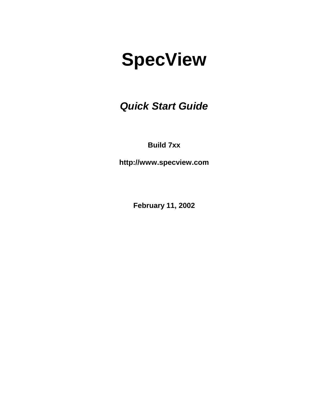*Quick Start Guide* 

**Build 7xx** 

**http://www.specview.com** 

**February 11, 2002**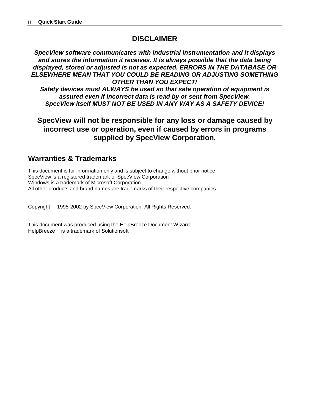### **DISCLAIMER**

*SpecView software communicates with industrial instrumentation and it displays and stores the information it receives. It is always possible that the data being displayed, stored or adjusted is not as expected. ERRORS IN THE DATABASE OR ELSEWHERE MEAN THAT YOU COULD BE READING OR ADJUSTING SOMETHING OTHER THAN YOU EXPECT!* 

*Safety devices must ALWAYS be used so that safe operation of equipment is assured even if incorrect data is read by or sent from SpecView. SpecView itself MUST NOT BE USED IN ANY WAY AS A SAFETY DEVICE!* 

**SpecView will not be responsible for any loss or damage caused by incorrect use or operation, even if caused by errors in programs supplied by SpecView Corporation.** 

### **Warranties & Trademarks**

This document is for information only and is subject to change without prior notice. SpecView is a registered trademark of SpecView Corporation Windows is a trademark of Microsoft Corporation. All other products and brand names are trademarks of their respective companies.

Copyright 1995-2002 by SpecView Corporation. All Rights Reserved.

This document was produced using the HelpBreeze Document Wizard. HelpBreeze<sup>™</sup> is a trademark of Solutionsoft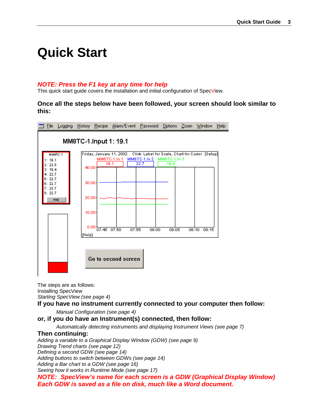# **Quick Start**

#### *NOTE: Press the F1 key at any time for help*

This quick start guide covers the installation and initial configuration of SpecView.

**Once all the steps below have been followed, your screen should look similar to this:** 



The steps are as follows: Installing SpecView *Starting SpecView (see page 4)*

**If you have no instrum[en](#page-3-0)t currently connected to your computer then follow:** 

*Manual Configuration (see page 4)*

#### **or, if you do have an Instrumen[t\(s](#page-6-0)) connected, then follow:**

*Automatically detecting instruments and displaying Instrument Views (see page [7\)](#page-8-0)*

#### **Then continuing:**

*Adding a variable to a Graphical Display Window (GDW) (see page [9\)](#page-11-0)*

*Drawing Trend charts (see page 12)*

*Defining a second GDW (see pa[ge 1](#page-13-0)4)*

*Adding buttons to switch between [GDW](#page-13-0)s (see page [14\)](#page-15-0)*

*Adding a Bar chart to a GDW (see page 16)*

*Seeing how it works in Runtime Mode (s[ee p](#page-16-0)age 17)*

*NOTE: SpecView's name for each sc[ree](#page-17-0)n is a GDW (Graphical Display Window) Each GDW is saved as a file on disk, much like a Word document.*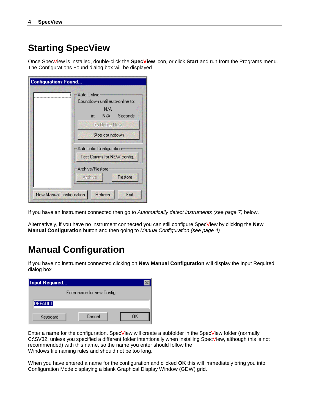### <span id="page-3-0"></span>**Starting SpecView**

Once SpecView is installed, double-click the **SpecView** icon, or click **Start** and run from the Programs menu. The Configurations Found dialog box will be displayed.

| <b>Configurations Found</b> |                                  |  |  |  |  |  |  |
|-----------------------------|----------------------------------|--|--|--|--|--|--|
|                             |                                  |  |  |  |  |  |  |
|                             | Auto-Online                      |  |  |  |  |  |  |
|                             | Countdown until auto-online to:  |  |  |  |  |  |  |
|                             | N/A                              |  |  |  |  |  |  |
|                             | Seconds<br>in:<br>N/A I          |  |  |  |  |  |  |
|                             | Go Online Now I                  |  |  |  |  |  |  |
|                             | Stop countdown                   |  |  |  |  |  |  |
|                             |                                  |  |  |  |  |  |  |
|                             | Automatic Configuration          |  |  |  |  |  |  |
|                             | Test Comms for NEW config.       |  |  |  |  |  |  |
|                             | Archive/Restore                  |  |  |  |  |  |  |
|                             | <b>Archive</b><br><b>Restore</b> |  |  |  |  |  |  |
| New Manual Configuration    | Refresh<br>Exit                  |  |  |  |  |  |  |

If you have an instrument connected then go to *Automatically detect instruments (see page [7\)](#page-8-0)* below.

Alternatively, if you have no instrument connected you can still configure SpecView by clicking the **New Manual Configuration** button and then going to *Manual Configuration (see page [4\)](#page-6-0)*

# **Manual Configuration**

If you have no instrument connected clicking on **New Manual Configuration** will display the Input Required dialog box

| Input Required |                           |  |  |  |  |
|----------------|---------------------------|--|--|--|--|
|                | Enter name for new Config |  |  |  |  |
| <b>DEFAULT</b> |                           |  |  |  |  |
| Keyboard       | Cancel<br>ΠK              |  |  |  |  |

Enter a name for the configuration. SpecView will create a subfolder in the SpecView folder (normally C:\SV32, unless you specified a different folder intentionally when installing SpecView, although this is not recommended) with this name, so the name you enter should follow the Windows file naming rules and should not be too long.

When you have entered a name for the configuration and clicked **OK** this will immediately bring you into Configuration Mode displaying a blank Graphical Display Window (GDW) grid.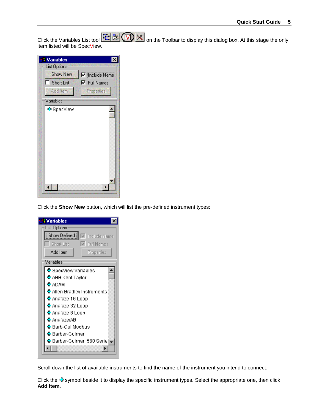Click the Variables List tool **Fi B ON**  $\frac{1}{2}$  on the Toolbar to display this dialog box. At this stage the only item listed will be SpecView.

| Variables           |                     |  |
|---------------------|---------------------|--|
| <b>List Options</b> |                     |  |
| <b>Show New</b>     | IV  Include Name    |  |
| <b>Short List</b>   | <b>▽</b> Full Names |  |
| Add Item            | Properties          |  |
| Variables           |                     |  |
| ↔ SpecView          |                     |  |
|                     |                     |  |
|                     |                     |  |
|                     |                     |  |
|                     |                     |  |
|                     |                     |  |
|                     |                     |  |
|                     |                     |  |
|                     |                     |  |
|                     |                     |  |
|                     |                     |  |

Click the **Show New** button, which will list the pre-defined instrument types:

| <b>Variables</b>                      |  |  |  |  |  |
|---------------------------------------|--|--|--|--|--|
| List Options                          |  |  |  |  |  |
| Show Defined<br>$\nabla$ Include Name |  |  |  |  |  |
| Short List<br>$\nabla$ Full Names     |  |  |  |  |  |
| Add Item<br>Properties                |  |  |  |  |  |
| Variables                             |  |  |  |  |  |
| ↔ SpecView Variables                  |  |  |  |  |  |
| ↔ ABB Kent Taylor                     |  |  |  |  |  |
| <b>ሩ</b> ADAM                         |  |  |  |  |  |
| ↔ Allen Bradley Instruments           |  |  |  |  |  |
| ↔ Anafaze 16 Loop                     |  |  |  |  |  |
| <b>ው</b> Anafaze 32 Loop              |  |  |  |  |  |
| <mark>N</mark> Anafaze 8 Loop         |  |  |  |  |  |
| <b>ሩን</b> Anafaze/AR                  |  |  |  |  |  |
| ↔ Barb-Col Modbus                     |  |  |  |  |  |
| ↔ Barber-Colman                       |  |  |  |  |  |
| ↔ Barber-Colman 560 Serie: →          |  |  |  |  |  |
|                                       |  |  |  |  |  |
|                                       |  |  |  |  |  |

Scroll down the list of available instruments to find the name of the instrument you intend to connect.

Click the  $\Phi$  symbol beside it to display the specific instrument types. Select the appropriate one, then click **Add Item**.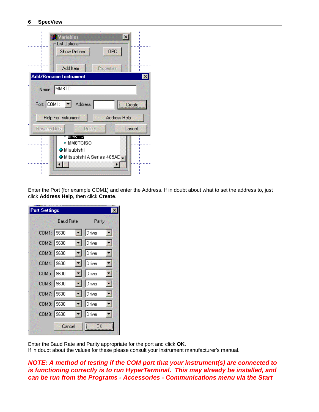| <b>N</b> Variables<br>$\boldsymbol{\mathsf{x}}$<br><b>List Options</b><br>OPC<br><b>Show Defined</b><br>Add Item<br>Properties |
|--------------------------------------------------------------------------------------------------------------------------------|
| Add/Rename Instrument<br>$\boldsymbol{\mathsf{x}}$                                                                             |
| Name: MM8TC                                                                                                                    |
| Port: COM1:<br>Address:<br>Create                                                                                              |
| Address Help<br><b>Help For Instrument</b>                                                                                     |
| Cancel<br><b>Rename Only</b><br>Delete                                                                                         |
| <b>MMOTO</b><br>MM8TCISO<br>$\blacksquare$                                                                                     |
| <mark>↔</mark> Misubishi                                                                                                       |
| <mark>↔</mark> Mitsubishi A Series 485AD                                                                                       |
|                                                                                                                                |

Enter the Port (for example COM1) and enter the Address. If in doubt about what to set the address to, just click **Address Help**, then click **Create**.

| Port Settings |                  |                                   |  |  |  |
|---------------|------------------|-----------------------------------|--|--|--|
|               | <b>Baud Rate</b> | Parity                            |  |  |  |
| COM1: 9600    |                  | $\blacktriangleright$ Driver<br>회 |  |  |  |
| COM2: 9600    |                  | Driver<br>÷.                      |  |  |  |
| COM3: 9600    |                  | $\blacksquare$ Driver<br>۳.       |  |  |  |
| COM4: 9600    |                  | $\boxed{\bullet}$ Driver<br>W.    |  |  |  |
| COM5: 9600    |                  | $\blacktriangleright$ Driver<br>靏 |  |  |  |
| COM6: 9600    |                  | Driver<br>X.                      |  |  |  |
| COM7: 9600    |                  | $\boxed{\bullet}$ Driver          |  |  |  |
| COM8: 9600    | 醫                | Driver                            |  |  |  |
| COM9: 9600    |                  | $\boxed{\bullet}$ Driver          |  |  |  |
|               | Cancel           | ΰK                                |  |  |  |

Enter the Baud Rate and Parity appropriate for the port and click **OK**. If in doubt about the values for these please consult your instrument manufacturer's manual.

*NOTE: A method of testing if the COM port that your instrument(s) are connected to is functioning correctly is to run HyperTerminal. This may already be installed, and can be run from the Programs - Accessories - Communications menu via the Start*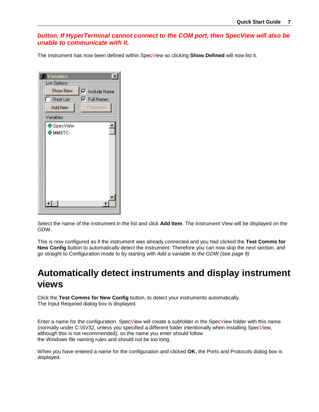#### <span id="page-6-0"></span>*button. If HyperTerminal cannot connect to the COM port, then SpecView will also be unable to communicate with it.*

The instrument has now been defined within SpecView so clicking **Show Defined** will now list it.

| Variables<br>List Options<br><b>Show New</b><br><b>▽</b> Include Name<br><b>▽</b> Full Names<br>Short List<br>Add Item<br>Properties<br>Variables |  |
|---------------------------------------------------------------------------------------------------------------------------------------------------|--|
| ↔ SpecView<br>↔ MM8TC-                                                                                                                            |  |
|                                                                                                                                                   |  |

Select the name of the instrument in the list and click **Add Item**. The Instrument View will be displayed on the GDW.

This is now configured as if the instrument was already connected and you had clicked the **Test Comms for New Config** button to automatically detect the instrument. Therefore you can now skip the next section, and go straight to Configuration mode to by starting with *Add a variable to the GDW (see page [9\)](#page-11-0)*

### **Automatically detect instruments and display instrument views**

Click the **Test Comms for New Config** button, to detect your instruments automatically. The Input Required dialog box is displayed.

Enter a name for the configuration. SpecView will create a subfolder in the SpecView folder with this name (normally under C:\SV32, unless you specified a different folder intentionally when installing SpecView, although this is not recommended), so the name you enter should follow the Windows file naming rules and should not be too long.

When you have entered a name for the configuration and clicked **OK**, the Ports and Protocols dialog box is displayed.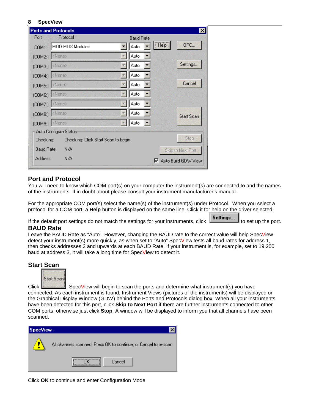|                          | <b>Ports and Protocols</b>          |      |                  | $\boldsymbol{\mathsf{x}}$    |
|--------------------------|-------------------------------------|------|------------------|------------------------------|
| Port                     | Protocol                            |      | <b>Baud Rate</b> |                              |
| COM1 <sup>2</sup>        | MOD-MUX Modules                     | Auto | [He]             | OPC                          |
| $[COM2.]$ <none></none>  |                                     | Auto |                  |                              |
|                          | $[COM3]$ $\langle$ None>.           | Auto |                  | Settings                     |
| (COM4:) <none></none>    |                                     | Auto |                  |                              |
| $[COM5]$ $\langle$ None> |                                     | Auto |                  | Cancel                       |
| $[COM6.]$ <none></none>  |                                     | Auto |                  |                              |
| (COM7:) <none></none>    |                                     | Auto |                  |                              |
| $[COM8]$ $\langle$ None> |                                     | Auto |                  | <b>Start Scan</b>            |
| (COM9:) <none></none>    |                                     | Auto |                  |                              |
|                          | Auto Configure Status:              |      |                  |                              |
| Checking:                | Checking: Click Start Scan to begin |      |                  | Stop                         |
| Baud Rate:               | N/A                                 |      |                  | Skip to Next Port            |
| Address:                 | N/A                                 |      |                  | <b>▽</b> Auto Build GDW View |

#### **Port and Protocol**

You will need to know which COM port(s) on your computer the instrument(s) are connected to and the names of the instruments. If in doubt about please consult your instrument manufacturer's manual.

For the appropriate COM port(s) select the name(s) of the instrument(s) under Protocol. When you select a protocol for a COM port, a **Help** button is displayed on the same line. Click it for help on the driver selected.

If the default port settings do not match the settings for your instruments, click  $\overline{\phantom{a}}\overline{\phantom{a}}$  set up the port.

#### **BAUD Rate**

Leave the BAUD Rate as "Auto". However, changing the BAUD rate to the correct value will help SpecView detect your instrument(s) more quickly, as when set to "Auto" SpecView tests all baud rates for address 1, then checks addresses 2 and upwards at each BAUD Rate. If your instrument is, for example, set to 19,200 baud at address 3, it will take a long time for SpecView to detect it.

#### **Start Scan**



Click SpecView will begin to scan the ports and determine what instrument(s) you have connected. As each instrument is found, Instrument Views (pictures of the instruments) will be displayed on the Graphical Display Window (GDW) behind the Ports and Protocols dialog box. When all your instruments have been detected for this port, click **Skip to Next Port** if there are further instruments connected to other COM ports, otherwise just click **Stop**. A window will be displayed to inform you that all channels have been scanned.



Click **OK** to continue and enter Configuration Mode.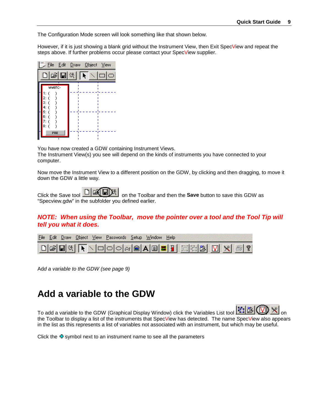<span id="page-8-0"></span>The Configuration Mode screen will look something like that shown below.

However, if it is just showing a blank grid without the Instrument View, then Exit SpecView and repeat the steps above. If further problems occur please contact your SpecView supplier.



You have now created a GDW containing Instrument Views. The Instrument View(s) you see will depend on the kinds of instruments you have connected to your computer.

Now move the Instrument View to a different position on the GDW, by clicking and then dragging, to move it down the GDW a little way.



Click the Save tool **DELE** "Specview.gdw" in the subfolder you defined earlier.

#### *NOTE: When using the Toolbar, move the pointer over a tool and the Tool Tip will tell you what it does.*

|  | File Edit Draw Object View Passwords Setup Window Help |                                                                                                                                                                                                                                                                                                                                                                                                                                                                                                                                             |  |
|--|--------------------------------------------------------|---------------------------------------------------------------------------------------------------------------------------------------------------------------------------------------------------------------------------------------------------------------------------------------------------------------------------------------------------------------------------------------------------------------------------------------------------------------------------------------------------------------------------------------------|--|
|  |                                                        | $\text{Diff}(\mathbf{R}) \times \text{Diff}(\mathbf{R}) \times \text{Diff}(\mathbf{R}) \times \text{Diff}(\mathbf{R}) \times \text{Diff}(\mathbf{R}) \times \text{Diff}(\mathbf{R}) \times \text{Diff}(\mathbf{R}) \times \text{Diff}(\mathbf{R}) \times \text{Diff}(\mathbf{R}) \times \text{Diff}(\mathbf{R}) \times \text{Diff}(\mathbf{R}) \times \text{Diff}(\mathbf{R}) \times \text{Diff}(\mathbf{R}) \times \text{Diff}(\mathbf{R}) \times \text{Diff}(\mathbf{R}) \times \text{Diff}(\mathbf{R}) \times \text{Diff}(\mathbf{R}) \$ |  |

Ad*d a variable to the GDW (see page [9\)](#page-11-0)*

### **Add a variable to the GDW**

To add a variable to the GDW (Graphical Display Window) click the Variables List tool  $\mathbb{E}$ the Toolbar to display a list of the instruments that SpecView has detected. The name SpecView also appears in the list as this represents a list of variables not associated with an instrument, but which may be useful.

Click the  $\Phi$  symbol next to an instrument name to see all the parameters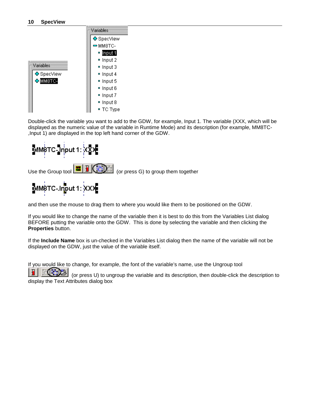|                | Variables    |
|----------------|--------------|
|                | ↔ SpecView   |
|                | — мм8ТС-     |
|                | ¤ Input 1    |
|                | ■ Input 2    |
| Variables      | ≖ Input 3    |
| ↔ SpecView     | ■ Input 4    |
| <b>+MM8TC-</b> | ■ Input 5    |
|                | ■ Input 6    |
|                | Input 7      |
|                | Input 8<br>۰ |
|                | ■ TC Type    |

Double-click the variable you want to add to the GDW, for example, Input 1. The variable (XXX, which will be displayed as the numeric value of the variable in Runtime Mode) and its description (for example, MM8TC- ,Input 1) are displayed in the top left hand corner of the GDW.



and then use the mouse to drag them to where you would like them to be positioned on the GDW.

If you would like to change the name of the variable then it is best to do this from the Variables List dialog BEFORE putting the variable onto the GDW. This is done by selecting the variable and then clicking the **Properties** button.

If the **Include Name** box is un-checked in the Variables List dialog then the name of the variable will not be displayed on the GDW, just the value of the variable itself.

If you would like to change, for example, the font of the variable's name, use the Ungroup tool

 (or press U) to ungroup the variable and its description, then double-click the description to display the Text Attributes dialog box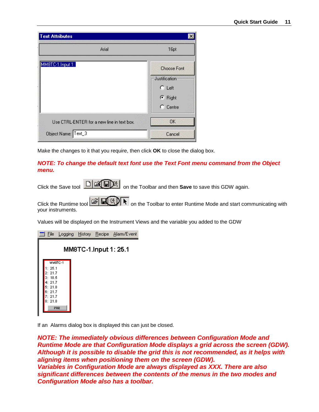| <b>Text Attributes</b>                     | ×                                   |
|--------------------------------------------|-------------------------------------|
| Arial                                      | 16pt                                |
| MM8TC-1.Input 1:                           | <b>Choose Font</b><br>Justification |
|                                            | $C$ Left                            |
|                                            | C Right<br>$C$ Centre               |
| Use CTRL-ENTER for a new line in text box. | <b>OK</b>                           |
| Object Name: Text_3                        | Cancel                              |

Make the changes to it that you require, then click **OK** to close the dialog box.

#### *NOTE: To change the default text font use the Text Font menu command from the Object menu.*

Click the Save tool  $\boxed{\text{C}(\mathbb{Z}[\text{m}])^*}$  on the Toolbar and then **Save** to save this GDW again.

Click the Runtime tool **on the Toolbar to enter Runtime Mode and start communicating with** your instruments.

Values will be displayed on the Instrument Views and the variable you added to the GDW

| File             |         |  | Logging History Recipe Alarm/Event |
|------------------|---------|--|------------------------------------|
|                  |         |  | MM8TC-1.Input 1: 25.1              |
|                  | MMSTC-1 |  |                                    |
| 1:25.1<br>2:21.7 |         |  |                                    |
| 3:18.5           |         |  |                                    |
| 4:21.7<br>5:21.8 |         |  |                                    |
| 6:21.7<br>7:21.7 |         |  |                                    |
| 8:21.8           |         |  |                                    |
|                  | PAR     |  |                                    |

If an Alarms dialog box is displayed this can just be closed.

*NOTE: The immediately obvious differences between Configuration Mode and Runtime Mode are that Configuration Mode displays a grid across the screen (GDW). Although it is possible to disable the grid this is not recommended, as it helps with aligning items when positioning them on the screen (GDW). Variables in Configuration Mode are always displayed as XXX. There are also significant differences between the contents of the menus in the two modes and Configuration Mode also has a toolbar.*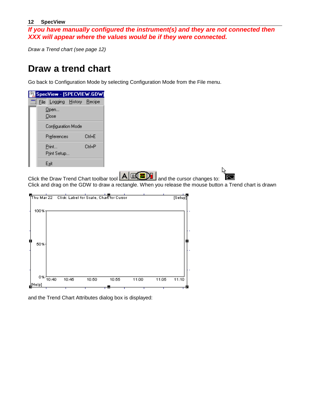<span id="page-11-0"></span>*If you have manually configured the instrument(s) and they are not connected then XXX will appear where the values would be if they were connected.* 

*Draw a Trend chart (see page [12\)](#page-13-0)*

### **Draw a trend chart**

Go back to Configuration Mode by selecting Configuration Mode from the File menu.

| SpecView - [SPECVIEW.GDW] |                       |                             |  |        |  |
|---------------------------|-----------------------|-----------------------------|--|--------|--|
|                           |                       | File Logging History Recipe |  |        |  |
|                           |                       | Open<br>Close               |  |        |  |
|                           | Configuration Mode    |                             |  |        |  |
|                           | Ctrl+F<br>Preferences |                             |  |        |  |
|                           |                       | Print<br>Print Setup        |  | Ctrl+P |  |
|                           |                       | Exit                        |  |        |  |

Click the Draw Trend Chart toolbar tool  $\boxed{\mathbf{A} \times \mathbf{B}}$  and the cursor changes to: Click and drag on the GDW to draw a rectangle. When you release the mouse button a Trend chart is drawn



and the Trend Chart Attributes dialog box is displayed: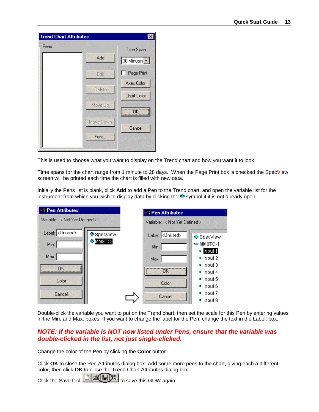| <b>Trend Chart Attributes</b> |           |                                 |
|-------------------------------|-----------|---------------------------------|
| Pens                          |           | Time Span                       |
|                               | Add       | 30 Minutes $\blacktriangledown$ |
|                               | Edit      | Page Print                      |
|                               |           | <b>Axes Color</b>               |
|                               | Delete    | <b>Chart Color</b>              |
|                               | Move Up   |                                 |
|                               |           | ÖK                              |
|                               | Move Down | Cancel                          |
|                               | Font      |                                 |
|                               |           |                                 |

This is used to choose what you want to display on the Trend chart and how you want it to look.

Time spans for the chart range from 1 minute to 28 days. When the Page Print box is checked the SpecView screen will be printed each time the chart is filled with new data.

Initially the Pens list is blank, click **Add** to add a Pen to the Trend chart, and open the variable list for the instrument from which you wish to display data by clicking the  $\Phi$  symbol if it is not already open.

| <b>BR</b> Pen Attributes                            |                               |  | <b>R</b> Pen Attributes                                    |                                                                                                                                                                                  |  |
|-----------------------------------------------------|-------------------------------|--|------------------------------------------------------------|----------------------------------------------------------------------------------------------------------------------------------------------------------------------------------|--|
|                                                     | Variable: < Not Yet Defined > |  | Variable: < Not Yet Defined >                              |                                                                                                                                                                                  |  |
| Label: < Unused><br>Min:<br>Max:<br>Color<br>Cancel | ↔ SpecView<br><b>+MM8TC-</b>  |  | Label: < Unused><br>Min:<br>Max (<br>ΠK<br>Color<br>Cancel | ↔ SpecView<br>$=$ MM8TC-1<br>$\blacksquare$ Input 1<br>$p$ Input 2<br>$=$ Input 3<br>$=$ Input 4<br>$\blacksquare$ Input 5<br>· Input 6<br>$=$ Input 7<br>$\blacksquare$ Input 8 |  |

Double-click the variable you want to put on the Trend chart, then set the scale for this Pen by entering values in the Min: and Max: boxes. If you want to change the label for the Pen, change the text in the Label: box.

#### *NOTE: If the variable is NOT now listed under Pens, ensure that the variable was double-clicked in the list, not just single-clicked.*

Change the color of the Pen by clicking the **Color** button

Click **OK** to close the Pen Attributes dialog box. Add some more pens to the chart, giving each a different color, then click **OK** to close the Trend Chart Attributes dialog box.

Click the Save tool  $\boxed{\Box \Box \Box \Box \Diamond}$  to save this GDW again.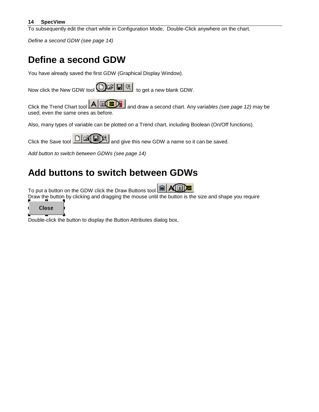<span id="page-13-0"></span>To subsequently edit the chart while in Configuration Mode, Double-Click anywhere on the chart.

*Define a second GDW (see page 14)*

# **Define a second GDW**

You have already saved the first GDW (Graphical Display Window).

| Now click the New GDW tool <b>①G &amp;</b> is to get a new blank GDW. |  |
|-----------------------------------------------------------------------|--|
|-----------------------------------------------------------------------|--|

Click the Trend Chart tool **A EQ a**nd draw a second chart. Any *variables (see page 12)* may be used, even the same ones as before.

Also, many types of variable can be plotted on a Trend chart, including Boolean (On/Off functions).

Click the Save tool  $\Box$   $\Box$  and give this new GDW a name so it can be saved.

*Add button to switch between GDWs (see page [14\)](#page-15-0)*

### **Add buttons to switch between GDWs**

To put a button on the GDW click the Draw Buttons tool

Draw the button by clicking and dragging the mouse until the button is the size and shape you require

Close

. Double-click the button to display the Button Attributes dialog box,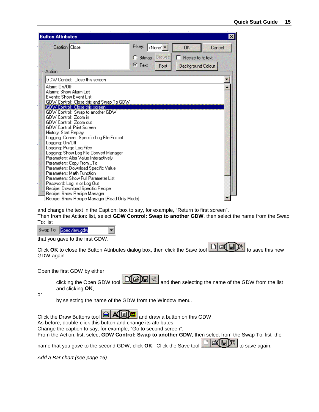| <b>Button Attributes</b>                     |                                                    |
|----------------------------------------------|----------------------------------------------------|
| Caption: Close                               | F-key:<br>  <none: ▼<br="">OK<br/>Cancel</none:>   |
|                                              | <b>Browse</b><br>Resize to fit text<br>n<br>Bitmap |
|                                              | $G$ Text                                           |
| Action                                       | Font<br>Background Colour                          |
| GDW Control: Close this screen               |                                                    |
| Alarm: On/Off                                |                                                    |
| Alarms: Show Alarm List                      |                                                    |
| Events: Show Event List                      |                                                    |
| GDW Control: Close this and Swap To GDW      |                                                    |
| GDW Control: Close this screen               |                                                    |
| GDW Control: Swap to another GDW             |                                                    |
| GDW Control: Zoom in                         |                                                    |
| GDW Control: Zoom out                        |                                                    |
| <b>GDW Control: Print Screen</b>             |                                                    |
| History: Start Replay                        |                                                    |
| Logging: Convert Specific Log File Format    |                                                    |
| Logging: On/Off                              |                                                    |
| Logging: Purge Log Files                     |                                                    |
| Logging: Show Log File Convert Manager       |                                                    |
| Parameters: Alter Value Interactively        |                                                    |
| Parameters: Copy FromTo                      |                                                    |
| Parameters: Download Specific Value          |                                                    |
| Parameters: Math Function                    |                                                    |
| Parameters: Show Full Parameter List         |                                                    |
| Password: Log In or Log Out                  |                                                    |
| Recipe: Download Specific Recipe             |                                                    |
| Recipe: Show Recipe Manager                  |                                                    |
| Recipe: Show Recipe Manager (Read Only Mode) |                                                    |

and change the text in the Caption: box to say, for example, "Return to first screen".

Then from the Action: list, select **GDW Control: Swap to another GDW**, then select the name from the Swap To: list

Swap To: Specview.gdw

that you gave to the first GDW.

Click **OK** to close the Button Attributes dialog box, then click the Save tool **Fig. 3** to save this new GDW again.

Open the first GDW by either

clicking the Open GDW tool **COCOCO** and then selecting the name of the GDW from the list and clicking **OK**,

or

by selecting the name of the GDW from the Window menu.

Click the Draw Buttons tool  $\Box$  All  $\Box$  and draw a button on this GDW. As before, double-click this button and change its attributes.

Change the caption to say, for example, "Go to second screen".

÷

From the Action: list, select **GDW Control: Swap to another GDW**, then select from the Swap To: list the name that you gave to the second GDW, click **OK**. Click the Save tool **THEFF** to save again.

*Add a Bar chart (see page [16\)](#page-16-0)*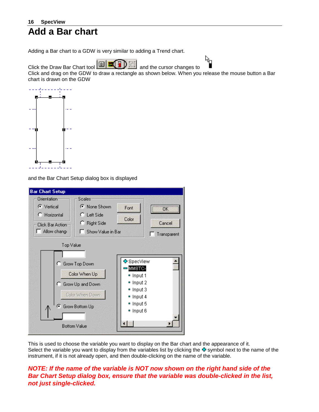### <span id="page-15-0"></span>**16 SpecView Add a Bar chart**

Adding a Bar chart to a GDW is very similar to adding a Trend chart.



Click and drag on the GDW to draw a rectangle as shown below. When you release the mouse button a Bar chart is drawn on the GDW



and the Bar Chart Setup dialog box is displayed



This is used to choose the variable you want to display on the Bar chart and the appearance of it. Select the variable you want to display from the variables list by clicking the  $\Phi$  symbol next to the name of the instrument, if it is not already open, and then double-clicking on the name of the variable.

#### *NOTE: If the name of the variable is NOT now shown on the right hand side of the Bar Chart Setup dialog box, ensure that the variable was double-clicked in the list, not just single-clicked.*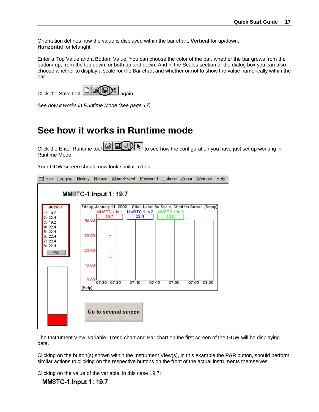<span id="page-16-0"></span>Orientation defines how the value is displayed within the bar chart; **Vertical** for up/down, **Horizontal** for left/right.

Enter a Top Value and a Bottom Value. You can choose the color of the bar, whether the bar grows from the bottom up, from the top down, or both up and down. And in the Scales section of the dialog box you can also choose whether to display a scale for the Bar chart and whether or not to show the value numerically within the bar.

Click the Save tool  $\Box$   $\Box$   $\Box$  again.



*See how it works in Runtime Mode (see page [17\)](#page-17-0)*

# **See how it works in Runtime mode**

Click the Enter Runtime tool  $\mathbb{E}[\mathbb{R}]$  to see how the configuration you have just set up working in Runtime Mode.

Your GDW screen should now look similar to this:



The Instrument View, variable, Trend chart and Bar chart on the first screen of the GDW will be displaying data.

Clicking on the button(s) shown within the Instrument View(s), in this example the **PAR** button, should perform similar actions to clicking on the respective buttons on the front of the actual instruments themselves.

Clicking on the value of the variable, in this case 19.7:

#### MM8TC-1.Input 1: 19.7